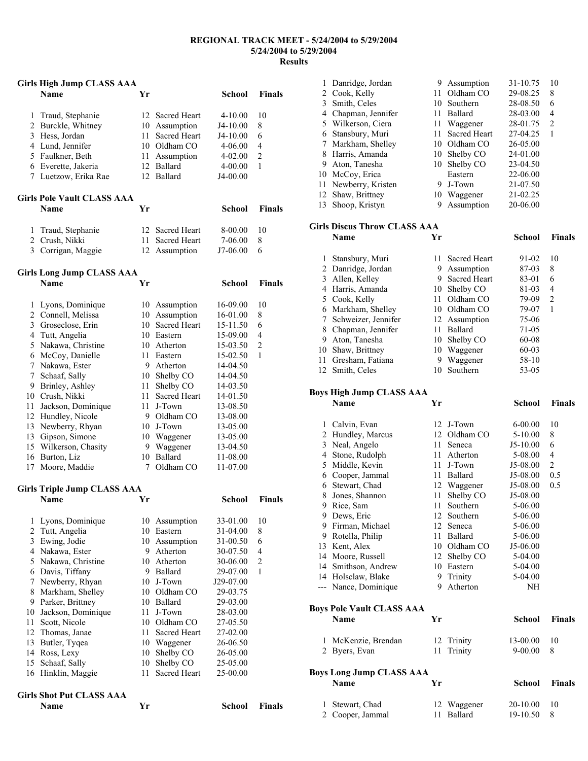#### **REGIONAL TRACK MEET - 5/24/2004 to 5/29/2004 5/24/2004 to 5/29/2004 Results**

#### **Girls High Jump CLASS AAA**

|   | <b>Name</b>                       | Yr  |                     | School      | <b>Finals</b>  |
|---|-----------------------------------|-----|---------------------|-------------|----------------|
| 1 | Traud, Stephanie                  |     | 12 Sacred Heart     | $4 - 10.00$ | 10             |
| 2 | Burckle, Whitney                  | 10  | Assumption          | $J4-10.00$  | 8              |
| 3 | Hess, Jordan                      | 11  | <b>Sacred Heart</b> | $J4-10.00$  | 6              |
| 4 | Lund, Jennifer                    | 10. | Oldham CO           | $4 - 06.00$ | $\overline{4}$ |
| 5 | Faulkner, Beth                    | 11  | Assumption          | $4 - 02.00$ | 2              |
| 6 | Everette, Jakeria                 | 12  | <b>Ballard</b>      | $4 - 00.00$ | 1              |
| 7 | Luetzow, Erika Rae                |     | 12 Ballard          | J4-00.00    |                |
|   | <b>Girls Pole Vault CLASS AAA</b> |     |                     |             |                |
|   | <b>Name</b>                       | Yr  |                     | School      | <b>Finals</b>  |
|   | Traud, Stephanie                  |     | 12 Sacred Heart     | 8-00.00     | 10             |
| 2 | Crush, Nikki                      | 11  | <b>Sacred Heart</b> | 7-06.00     | 8              |
| 3 | Corrigan, Maggie                  | 12  | Assumption          | J7-06.00    | 6              |
|   |                                   |     |                     |             |                |

### **Girls Long Jump CLASS AAA**

|    | Name               | Yr |                     | School   | Finals         |
|----|--------------------|----|---------------------|----------|----------------|
| 1  | Lyons, Dominique   | 10 | Assumption          | 16-09.00 | 10             |
| 2  | Connell, Melissa   | 10 | Assumption          | 16-01.00 | 8              |
| 3  | Groseclose, Erin   | 10 | <b>Sacred Heart</b> | 15-11.50 | 6              |
| 4  | Tutt, Angelia      | 10 | Eastern             | 15-09.00 | 4              |
| 5. | Nakawa, Christine  | 10 | Atherton            | 15-03.50 | $\overline{2}$ |
| 6  | McCoy, Danielle    | 11 | Eastern             | 15-02.50 | 1              |
| 7  | Nakawa, Ester      | 9  | Atherton            | 14-04.50 |                |
| 7  | Schaaf, Sally      | 10 | Shelby CO           | 14-04.50 |                |
| 9  | Brinley, Ashley    | 11 | Shelby CO           | 14-03.50 |                |
| 10 | Crush, Nikki       | 11 | <b>Sacred Heart</b> | 14-01.50 |                |
| 11 | Jackson, Dominique | 11 | J-Town              | 13-08.50 |                |
| 12 | Hundley, Nicole    | 9  | Oldham CO           | 13-08.00 |                |
| 13 | Newberry, Rhyan    | 10 | J-Town              | 13-05.00 |                |
| 13 | Gipson, Simone     | 10 | Waggener            | 13-05.00 |                |
| 15 | Wilkerson, Chasity | 9  | Waggener            | 13-04.50 |                |
| 16 | Burton, Liz        | 10 | Ballard             | 11-08.00 |                |
| 17 | Moore, Maddie      |    | Oldham CO           | 11-07.00 |                |

## **Girls Triple Jump CLASS AAA**

|    | Name               | Yr |                     | School       | <b>Finals</b>  |
|----|--------------------|----|---------------------|--------------|----------------|
| 1  | Lyons, Dominique   | 10 | Assumption          | 33-01.00     | 10             |
| 2  | Tutt, Angelia      | 10 | Eastern             | $31 - 04.00$ | 8              |
| 3  | Ewing, Jodie       |    | 10 Assumption       | 31-00.50     | 6              |
| 4  | Nakawa, Ester      | 9  | Atherton            | 30-07.50     | 4              |
| 5  | Nakawa, Christine  | 10 | Atherton            | 30-06.00     | $\overline{2}$ |
| 6  | Davis, Tiffany     | 9  | Ballard             | 29-07.00     | 1              |
| 7  | Newberry, Rhyan    | 10 | J-Town              | J29-07.00    |                |
| 8  | Markham, Shelley   | 10 | Oldham CO           | 29-03.75     |                |
| 9  | Parker, Brittney   | 10 | Ballard             | 29-03.00     |                |
| 10 | Jackson, Dominique | 11 | J-Town              | 28-03.00     |                |
| 11 | Scott, Nicole      | 10 | Oldham CO           | 27-05.50     |                |
| 12 | Thomas, Janae      | 11 | <b>Sacred Heart</b> | 27-02.00     |                |
| 13 | Butler, Tygea      | 10 | Waggener            | 26-06.50     |                |
| 14 | Ross, Lexy         | 10 | Shelby CO           | 26-05.00     |                |
| 15 | Schaaf, Sally      | 10 | Shelby CO           | 25-05.00     |                |
| 16 | Hinklin, Maggie    | 11 | <b>Sacred Heart</b> | 25-00.00     |                |

### **Girls Shot Put CLASS AAA**

|  | <b>Name</b> |  |
|--|-------------|--|
|--|-------------|--|

|    | Danridge, Jordan     | 9  | Assumption          | 31-10.75 | 10 |
|----|----------------------|----|---------------------|----------|----|
|    | 2 Cook, Kelly        | 11 | Oldham CO           | 29-08.25 | 8  |
|    | 3 Smith, Celes       | 10 | Southern            | 28-08.50 | 6  |
|    | 4 Chapman, Jennifer  | 11 | Ballard             | 28-03.00 | 4  |
|    | 5 Wilkerson, Ciera   | 11 | Waggener            | 28-01.75 | 2  |
|    | 6 Stansbury, Muri    | 11 | <b>Sacred Heart</b> | 27-04.25 |    |
|    | Markham, Shelley     | 10 | Oldham CO           | 26-05.00 |    |
|    | 8 Harris, Amanda     | 10 | Shelby CO           | 24-01.00 |    |
| 9  | Aton, Tanesha        | 10 | Shelby CO           | 23-04.50 |    |
|    | 10 McCoy, Erica      |    | Eastern             | 22-06.00 |    |
|    | 11 Newberry, Kristen | 9  | J-Town              | 21-07.50 |    |
|    | 12 Shaw, Brittney    | 10 | Waggener            | 21-02.25 |    |
| 13 | Shoop, Kristyn       | 9  | Assumption          | 20-06.00 |    |
|    |                      |    |                     |          |    |

### **Girls Discus Throw CLASS AAA**

|    | ніз різсаз Тіном Сілаээ Лама |     |                     |           |               |  |  |  |
|----|------------------------------|-----|---------------------|-----------|---------------|--|--|--|
|    | <b>Name</b>                  | Yr  |                     | School    | <b>Finals</b> |  |  |  |
|    | Stansbury, Muri              |     | 11 Sacred Heart     | 91-02     | 10            |  |  |  |
|    | 2 Danridge, Jordan           | 9   | Assumption          | 87-03     | 8             |  |  |  |
| 3  | Allen, Kelley                | 9   | <b>Sacred Heart</b> | 83-01     | 6             |  |  |  |
| 4  | Harris, Amanda               | 10  | Shelby CO           | $81 - 03$ | 4             |  |  |  |
| 5. | Cook, Kelly                  | 11. | Oldham CO           | 79-09     | 2             |  |  |  |
| 6  | Markham, Shelley             | 10  | Oldham CO           | 79-07     | 1             |  |  |  |
| 7  | Schweizer, Jennifer          |     | 12 Assumption       | 75-06     |               |  |  |  |
| 8  | Chapman, Jennifer            | 11  | <b>Ballard</b>      | 71-05     |               |  |  |  |
| 9  | Aton, Tanesha                | 10  | Shelby CO           | 60-08     |               |  |  |  |
| 10 | Shaw, Brittney               |     | 10 Waggener         | $60-03$   |               |  |  |  |
| 11 | Gresham, Fatiana             | 9   | Waggener            | 58-10     |               |  |  |  |
|    | 12 Smith, Celes              | 10  | Southern            | 53-05     |               |  |  |  |

# **Boys High Jump CLASS AAA**

|     | <b>Name</b>                      | Yr |              | <b>School</b> | <b>Finals</b>  |
|-----|----------------------------------|----|--------------|---------------|----------------|
| 1   | Calvin, Evan                     | 12 | J-Town       | $6 - 00.00$   | 10             |
| 2   | Hundley, Marcus                  |    | 12 Oldham CO | $5 - 10.00$   | 8              |
| 3   | Neal, Angelo                     | 11 | Seneca       | $J5-10.00$    | 6              |
| 4   | Stone, Rudolph                   | 11 | Atherton     | 5-08.00       | $\overline{4}$ |
| 5   | Middle, Kevin                    | 11 | J-Town       | J5-08.00      | $\overline{2}$ |
| 6   | Cooper, Jammal                   | 11 | Ballard      | J5-08.00      | 0.5            |
|     | 6 Stewart, Chad                  | 12 | Waggener     | J5-08.00      | 0.5            |
| 8   | Jones, Shannon                   | 11 | Shelby CO    | J5-08.00      |                |
| 9   | Rice, Sam                        | 11 | Southern     | 5-06.00       |                |
| 9   | Dews, Eric                       | 12 | Southern     | 5-06.00       |                |
| 9   | Firman, Michael                  |    | 12 Seneca    | 5-06.00       |                |
| 9   | Rotella, Philip                  | 11 | Ballard      | 5-06.00       |                |
| 13  | Kent, Alex                       | 10 | Oldham CO    | J5-06.00      |                |
| 14  | Moore, Russell                   | 12 | Shelby CO    | 5-04.00       |                |
| 14  | Smithson, Andrew                 | 10 | Eastern      | 5-04.00       |                |
|     | 14 Holsclaw, Blake               | 9  | Trinity      | 5-04.00       |                |
| --- | Nance, Dominique                 | 9  | Atherton     | NH            |                |
|     | <b>Boys Pole Vault CLASS AAA</b> |    |              |               |                |
|     | <b>Name</b>                      | Yr |              | <b>School</b> | <b>Finals</b>  |
| 1   | McKenzie, Brendan                | 12 | Trinity      | 13-00.00      | 10             |
| 2   | Byers, Evan                      | 11 | Trinity      | $9 - 00.00$   | 8              |
|     | <b>Boys Long Jump CLASS AAA</b>  |    |              |               |                |
|     | <b>Name</b>                      | Yr |              | School        | <b>Finals</b>  |

| 1 Stewart, Chad  | 12 Waggener | 20-10.00 | -10 |
|------------------|-------------|----------|-----|
| 2 Cooper, Jammal | 11 Ballard  | 19-10.50 |     |